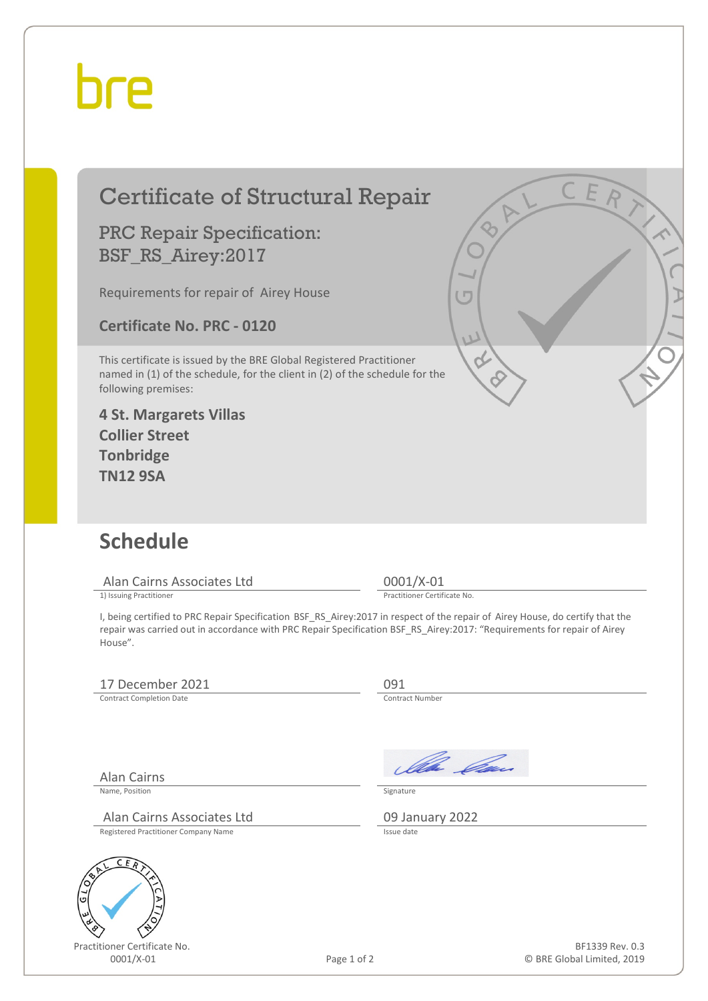## bre

|                 | <b>Certificate of Structural Repair</b>                                                                                                                                                                                                                             | C E R                                         |
|-----------------|---------------------------------------------------------------------------------------------------------------------------------------------------------------------------------------------------------------------------------------------------------------------|-----------------------------------------------|
|                 | <b>PRC Repair Specification:</b><br>BSF_RS_Airey:2017                                                                                                                                                                                                               |                                               |
|                 | Requirements for repair of Airey House                                                                                                                                                                                                                              | $\overline{C}$                                |
|                 | <b>Certificate No. PRC - 0120</b>                                                                                                                                                                                                                                   | V                                             |
|                 | This certificate is issued by the BRE Global Registered Practitioner<br>named in (1) of the schedule, for the client in (2) of the schedule for the<br>following premises:                                                                                          |                                               |
|                 | <b>4 St. Margarets Villas</b><br><b>Collier Street</b><br><b>Tonbridge</b><br><b>TN12 9SA</b>                                                                                                                                                                       |                                               |
| <b>Schedule</b> |                                                                                                                                                                                                                                                                     |                                               |
|                 | Alan Cairns Associates Ltd<br>1) Issuing Practitioner                                                                                                                                                                                                               | 0001/X-01<br>Practitioner Certificate No.     |
|                 | I, being certified to PRC Repair Specification BSF RS Airey:2017 in respect of the repair of Airey House, do certify that the<br>repair was carried out in accordance with PRC Repair Specification BSF_RS_Airey:2017: "Requirements for repair of Airey<br>House". |                                               |
|                 | 17 December 2021<br><b>Contract Completion Date</b>                                                                                                                                                                                                                 | 091<br>Contract Number                        |
|                 | <b>Alan Cairns</b><br>Name, Position                                                                                                                                                                                                                                | Illa Can<br>Signature                         |
|                 | Alan Cairns Associates Ltd<br><b>Registered Practitioner Company Name</b>                                                                                                                                                                                           | 09 January 2022<br>Issue date                 |
| G               | C<br>ER                                                                                                                                                                                                                                                             |                                               |
|                 | Practitioner Certificate No.<br>0001/X-01<br>Page 1 of 2                                                                                                                                                                                                            | BF1339 Rev. 0.3<br>© BRE Global Limited, 2019 |